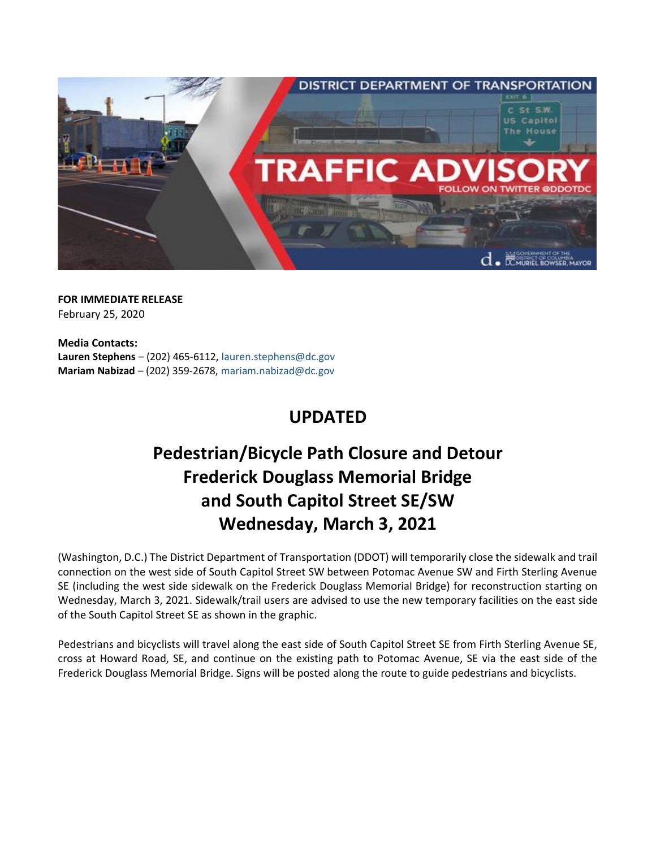

**FOR IMMEDIATE RELEASE** February 25, 2020

**Media Contacts: Lauren Stephens** – (202) 465-6112[, lauren.stephens@dc.gov](mailto:lauren.stephens@dc.gov) **Mariam Nabizad** – (202) 359-2678, [mariam.nabizad@dc.gov](mailto:mariam.nabizad@dc.gov)

## **UPDATED**

## **Pedestrian/Bicycle Path Closure and Detour Frederick Douglass Memorial Bridge and South Capitol Street SE/SW Wednesday, March 3, 2021**

(Washington, D.C.) The District Department of Transportation (DDOT) will temporarily close the sidewalk and trail connection on the west side of South Capitol Street SW between Potomac Avenue SW and Firth Sterling Avenue SE (including the west side sidewalk on the Frederick Douglass Memorial Bridge) for reconstruction starting on Wednesday, March 3, 2021. Sidewalk/trail users are advised to use the new temporary facilities on the east side of the South Capitol Street SE as shown in the graphic.

Pedestrians and bicyclists will travel along the east side of South Capitol Street SE from Firth Sterling Avenue SE, cross at Howard Road, SE, and continue on the existing path to Potomac Avenue, SE via the east side of the Frederick Douglass Memorial Bridge. Signs will be posted along the route to guide pedestrians and bicyclists.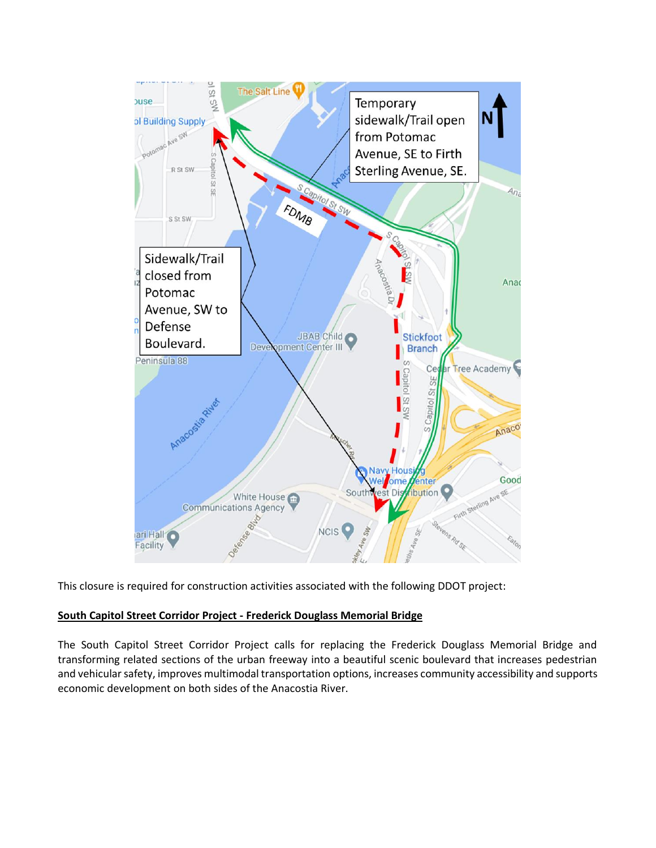

This closure is required for construction activities associated with the following DDOT project:

## **South Capitol Street Corridor Project - Frederick Douglass Memorial Bridge**

The South Capitol Street Corridor Project calls for replacing the Frederick Douglass Memorial Bridge and transforming related sections of the urban freeway into a beautiful scenic boulevard that increases pedestrian and vehicular safety, improves multimodal transportation options, increases community accessibility and supports economic development on both sides of the Anacostia River.